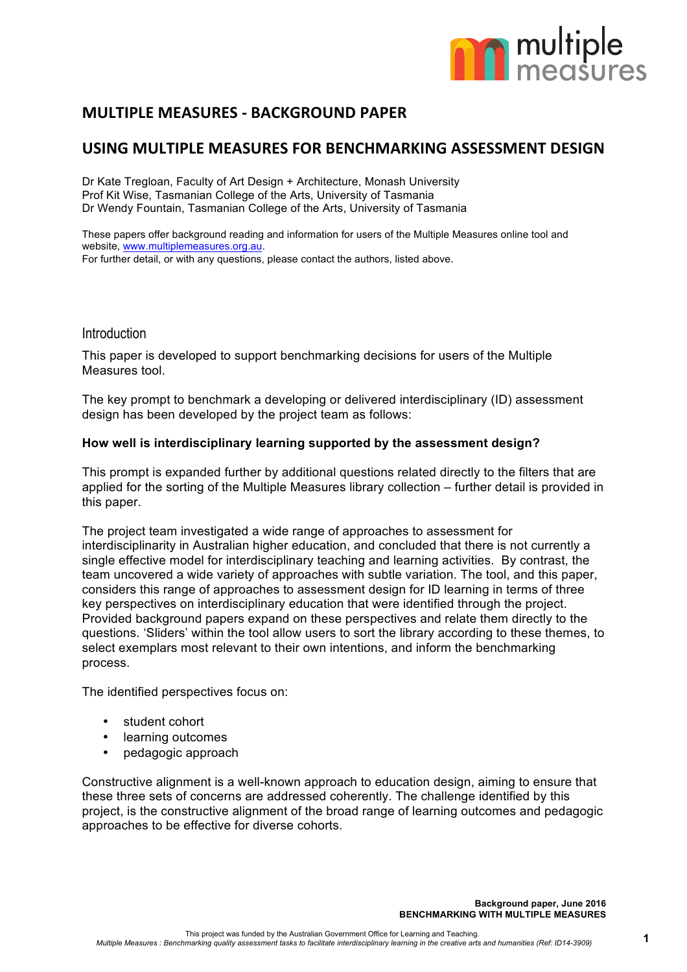

# **MULTIPLE MEASURES - BACKGROUND PAPER**

# USING MULTIPLE MEASURES FOR BENCHMARKING ASSESSMENT DESIGN

Dr Kate Tregloan, Faculty of Art Design + Architecture, Monash University Prof Kit Wise, Tasmanian College of the Arts, University of Tasmania Dr Wendy Fountain, Tasmanian College of the Arts, University of Tasmania

These papers offer background reading and information for users of the Multiple Measures online tool and website, www.multiplemeasures.org.au.

For further detail, or with any questions, please contact the authors, listed above.

## **Introduction**

This paper is developed to support benchmarking decisions for users of the Multiple Measures tool.

The key prompt to benchmark a developing or delivered interdisciplinary (ID) assessment design has been developed by the project team as follows:

### **How well is interdisciplinary learning supported by the assessment design?**

This prompt is expanded further by additional questions related directly to the filters that are applied for the sorting of the Multiple Measures library collection – further detail is provided in this paper.

The project team investigated a wide range of approaches to assessment for interdisciplinarity in Australian higher education, and concluded that there is not currently a single effective model for interdisciplinary teaching and learning activities. By contrast, the team uncovered a wide variety of approaches with subtle variation. The tool, and this paper, considers this range of approaches to assessment design for ID learning in terms of three key perspectives on interdisciplinary education that were identified through the project. Provided background papers expand on these perspectives and relate them directly to the questions. 'Sliders' within the tool allow users to sort the library according to these themes, to select exemplars most relevant to their own intentions, and inform the benchmarking process.

The identified perspectives focus on:

- student cohort
- learning outcomes
- pedagogic approach

Constructive alignment is a well-known approach to education design, aiming to ensure that these three sets of concerns are addressed coherently. The challenge identified by this project, is the constructive alignment of the broad range of learning outcomes and pedagogic approaches to be effective for diverse cohorts.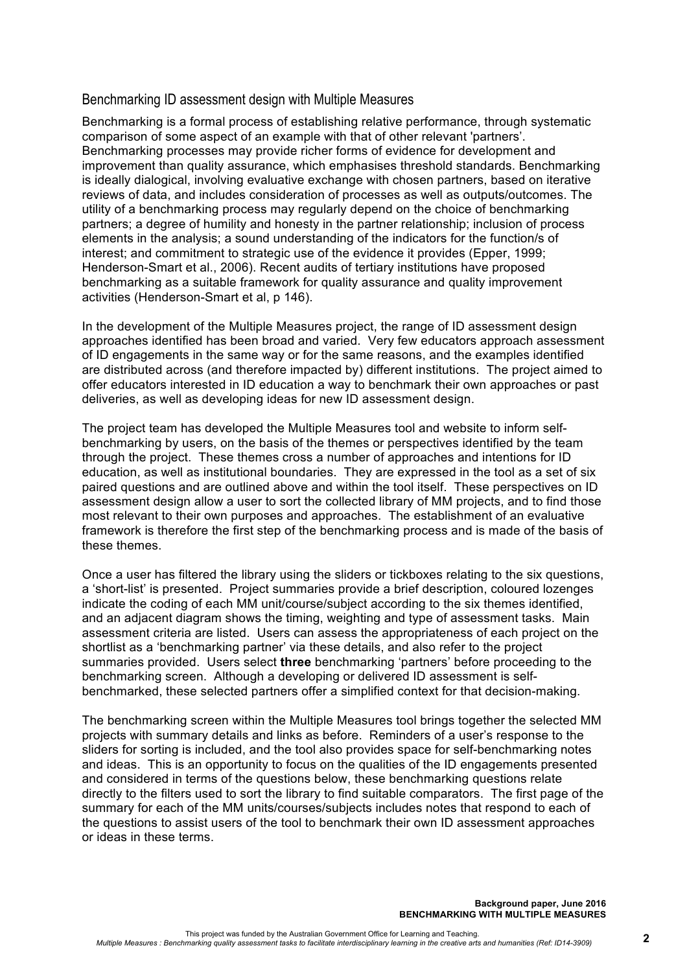## Benchmarking ID assessment design with Multiple Measures

Benchmarking is a formal process of establishing relative performance, through systematic comparison of some aspect of an example with that of other relevant 'partners'. Benchmarking processes may provide richer forms of evidence for development and improvement than quality assurance, which emphasises threshold standards. Benchmarking is ideally dialogical, involving evaluative exchange with chosen partners, based on iterative reviews of data, and includes consideration of processes as well as outputs/outcomes. The utility of a benchmarking process may regularly depend on the choice of benchmarking partners; a degree of humility and honesty in the partner relationship; inclusion of process elements in the analysis; a sound understanding of the indicators for the function/s of interest; and commitment to strategic use of the evidence it provides (Epper, 1999; Henderson-Smart et al., 2006). Recent audits of tertiary institutions have proposed benchmarking as a suitable framework for quality assurance and quality improvement activities (Henderson-Smart et al, p 146).

In the development of the Multiple Measures project, the range of ID assessment design approaches identified has been broad and varied. Very few educators approach assessment of ID engagements in the same way or for the same reasons, and the examples identified are distributed across (and therefore impacted by) different institutions. The project aimed to offer educators interested in ID education a way to benchmark their own approaches or past deliveries, as well as developing ideas for new ID assessment design.

The project team has developed the Multiple Measures tool and website to inform selfbenchmarking by users, on the basis of the themes or perspectives identified by the team through the project. These themes cross a number of approaches and intentions for ID education, as well as institutional boundaries. They are expressed in the tool as a set of six paired questions and are outlined above and within the tool itself. These perspectives on ID assessment design allow a user to sort the collected library of MM projects, and to find those most relevant to their own purposes and approaches. The establishment of an evaluative framework is therefore the first step of the benchmarking process and is made of the basis of these themes.

Once a user has filtered the library using the sliders or tickboxes relating to the six questions, a 'short-list' is presented. Project summaries provide a brief description, coloured lozenges indicate the coding of each MM unit/course/subject according to the six themes identified, and an adjacent diagram shows the timing, weighting and type of assessment tasks. Main assessment criteria are listed. Users can assess the appropriateness of each project on the shortlist as a 'benchmarking partner' via these details, and also refer to the project summaries provided. Users select **three** benchmarking 'partners' before proceeding to the benchmarking screen. Although a developing or delivered ID assessment is selfbenchmarked, these selected partners offer a simplified context for that decision-making.

The benchmarking screen within the Multiple Measures tool brings together the selected MM projects with summary details and links as before. Reminders of a user's response to the sliders for sorting is included, and the tool also provides space for self-benchmarking notes and ideas. This is an opportunity to focus on the qualities of the ID engagements presented and considered in terms of the questions below, these benchmarking questions relate directly to the filters used to sort the library to find suitable comparators. The first page of the summary for each of the MM units/courses/subjects includes notes that respond to each of the questions to assist users of the tool to benchmark their own ID assessment approaches or ideas in these terms.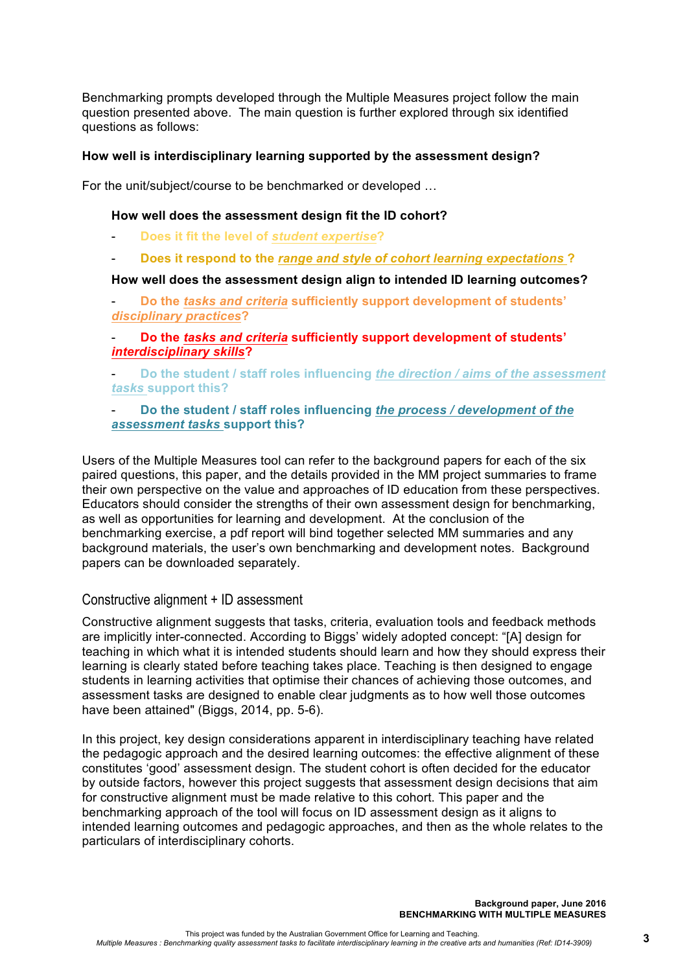Benchmarking prompts developed through the Multiple Measures project follow the main question presented above. The main question is further explored through six identified questions as follows:

### **How well is interdisciplinary learning supported by the assessment design?**

For the unit/subject/course to be benchmarked or developed …

### **How well does the assessment design fit the ID cohort?**

- **Does it fit the level of** *student expertise***?**
- **Does it respond to the** *range and style of cohort learning expectations* **?**

#### **How well does the assessment design align to intended ID learning outcomes?**

- **Do the** *tasks and criteria* **sufficiently support development of students'**  *disciplinary practices***?**

# - **Do the** *tasks and criteria* **sufficiently support development of students'**  *interdisciplinary skills***?**

- **Do the student / staff roles influencing** *the direction / aims of the assessment tasks* **support this?**

### - **Do the student / staff roles influencing** *the process / development of the assessment tasks* **support this?**

Users of the Multiple Measures tool can refer to the background papers for each of the six paired questions, this paper, and the details provided in the MM project summaries to frame their own perspective on the value and approaches of ID education from these perspectives. Educators should consider the strengths of their own assessment design for benchmarking, as well as opportunities for learning and development. At the conclusion of the benchmarking exercise, a pdf report will bind together selected MM summaries and any background materials, the user's own benchmarking and development notes. Background papers can be downloaded separately.

### Constructive alignment + ID assessment

Constructive alignment suggests that tasks, criteria, evaluation tools and feedback methods are implicitly inter-connected. According to Biggs' widely adopted concept: "[A] design for teaching in which what it is intended students should learn and how they should express their learning is clearly stated before teaching takes place. Teaching is then designed to engage students in learning activities that optimise their chances of achieving those outcomes, and assessment tasks are designed to enable clear judgments as to how well those outcomes have been attained" (Biggs, 2014, pp. 5-6).

In this project, key design considerations apparent in interdisciplinary teaching have related the pedagogic approach and the desired learning outcomes: the effective alignment of these constitutes 'good' assessment design. The student cohort is often decided for the educator by outside factors, however this project suggests that assessment design decisions that aim for constructive alignment must be made relative to this cohort. This paper and the benchmarking approach of the tool will focus on ID assessment design as it aligns to intended learning outcomes and pedagogic approaches, and then as the whole relates to the particulars of interdisciplinary cohorts.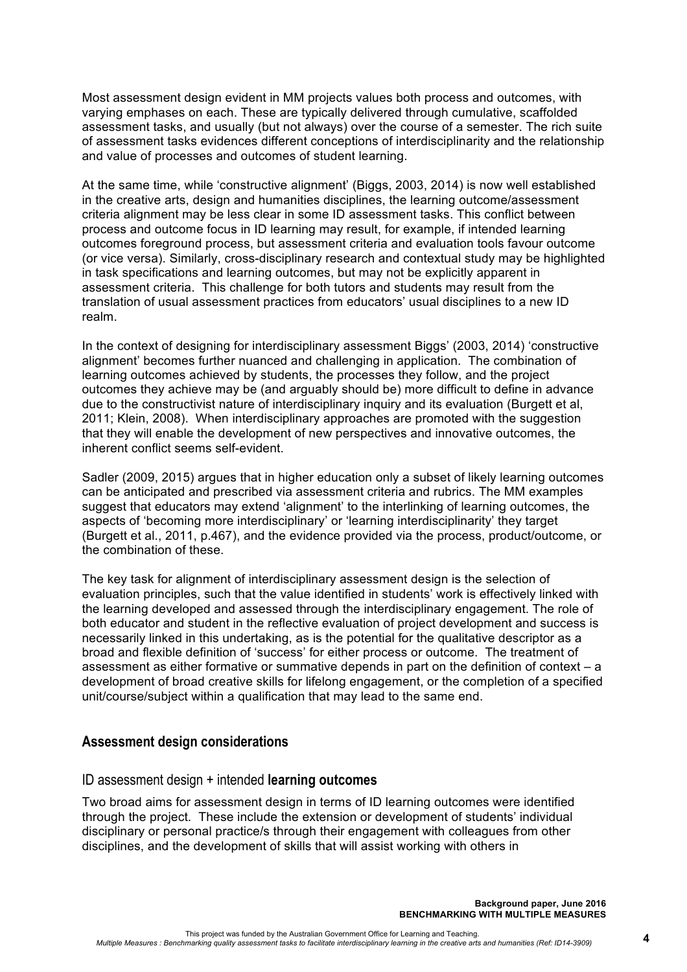Most assessment design evident in MM projects values both process and outcomes, with varying emphases on each. These are typically delivered through cumulative, scaffolded assessment tasks, and usually (but not always) over the course of a semester. The rich suite of assessment tasks evidences different conceptions of interdisciplinarity and the relationship and value of processes and outcomes of student learning.

At the same time, while 'constructive alignment' (Biggs, 2003, 2014) is now well established in the creative arts, design and humanities disciplines, the learning outcome/assessment criteria alignment may be less clear in some ID assessment tasks. This conflict between process and outcome focus in ID learning may result, for example, if intended learning outcomes foreground process, but assessment criteria and evaluation tools favour outcome (or vice versa). Similarly, cross-disciplinary research and contextual study may be highlighted in task specifications and learning outcomes, but may not be explicitly apparent in assessment criteria. This challenge for both tutors and students may result from the translation of usual assessment practices from educators' usual disciplines to a new ID realm.

In the context of designing for interdisciplinary assessment Biggs' (2003, 2014) 'constructive alignment' becomes further nuanced and challenging in application. The combination of learning outcomes achieved by students, the processes they follow, and the project outcomes they achieve may be (and arguably should be) more difficult to define in advance due to the constructivist nature of interdisciplinary inquiry and its evaluation (Burgett et al, 2011; Klein, 2008). When interdisciplinary approaches are promoted with the suggestion that they will enable the development of new perspectives and innovative outcomes, the inherent conflict seems self-evident.

Sadler (2009, 2015) argues that in higher education only a subset of likely learning outcomes can be anticipated and prescribed via assessment criteria and rubrics. The MM examples suggest that educators may extend 'alignment' to the interlinking of learning outcomes, the aspects of 'becoming more interdisciplinary' or 'learning interdisciplinarity' they target (Burgett et al., 2011, p.467), and the evidence provided via the process, product/outcome, or the combination of these.

The key task for alignment of interdisciplinary assessment design is the selection of evaluation principles, such that the value identified in students' work is effectively linked with the learning developed and assessed through the interdisciplinary engagement. The role of both educator and student in the reflective evaluation of project development and success is necessarily linked in this undertaking, as is the potential for the qualitative descriptor as a broad and flexible definition of 'success' for either process or outcome. The treatment of assessment as either formative or summative depends in part on the definition of context – a development of broad creative skills for lifelong engagement, or the completion of a specified unit/course/subject within a qualification that may lead to the same end.

# **Assessment design considerations**

## ID assessment design + intended **learning outcomes**

Two broad aims for assessment design in terms of ID learning outcomes were identified through the project. These include the extension or development of students' individual disciplinary or personal practice/s through their engagement with colleagues from other disciplines, and the development of skills that will assist working with others in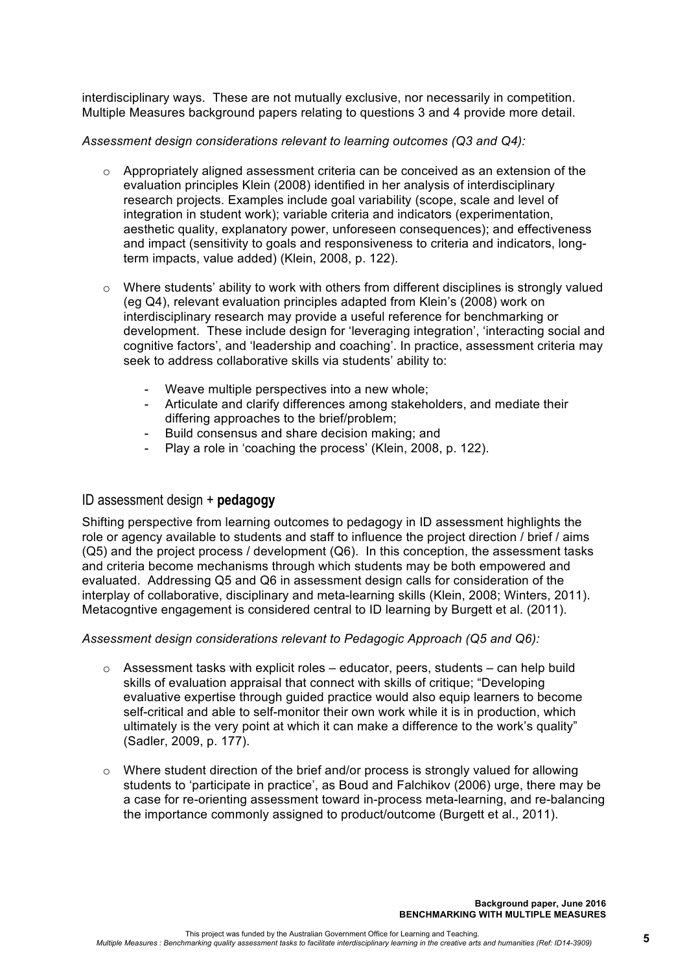interdisciplinary ways. These are not mutually exclusive, nor necessarily in competition. Multiple Measures background papers relating to questions 3 and 4 provide more detail.

*Assessment design considerations relevant to learning outcomes (Q3 and Q4):*

- o Appropriately aligned assessment criteria can be conceived as an extension of the evaluation principles Klein (2008) identified in her analysis of interdisciplinary research projects. Examples include goal variability (scope, scale and level of integration in student work); variable criteria and indicators (experimentation, aesthetic quality, explanatory power, unforeseen consequences); and effectiveness and impact (sensitivity to goals and responsiveness to criteria and indicators, longterm impacts, value added) (Klein, 2008, p. 122).
- $\circ$  Where students' ability to work with others from different disciplines is strongly valued (eg Q4), relevant evaluation principles adapted from Klein's (2008) work on interdisciplinary research may provide a useful reference for benchmarking or development. These include design for 'leveraging integration', 'interacting social and cognitive factors', and 'leadership and coaching'. In practice, assessment criteria may seek to address collaborative skills via students' ability to:
	- Weave multiple perspectives into a new whole;
	- Articulate and clarify differences among stakeholders, and mediate their differing approaches to the brief/problem;
	- Build consensus and share decision making; and
	- Play a role in 'coaching the process' (Klein, 2008, p. 122).

# ID assessment design + **pedagogy**

Shifting perspective from learning outcomes to pedagogy in ID assessment highlights the role or agency available to students and staff to influence the project direction / brief / aims (Q5) and the project process / development (Q6). In this conception, the assessment tasks and criteria become mechanisms through which students may be both empowered and evaluated. Addressing Q5 and Q6 in assessment design calls for consideration of the interplay of collaborative, disciplinary and meta-learning skills (Klein, 2008; Winters, 2011). Metacogntive engagement is considered central to ID learning by Burgett et al. (2011).

### *Assessment design considerations relevant to Pedagogic Approach (Q5 and Q6):*

- $\circ$  Assessment tasks with explicit roles educator, peers, students can help build skills of evaluation appraisal that connect with skills of critique; "Developing evaluative expertise through guided practice would also equip learners to become self-critical and able to self-monitor their own work while it is in production, which ultimately is the very point at which it can make a difference to the work's quality" (Sadler, 2009, p. 177).
- $\circ$  Where student direction of the brief and/or process is strongly valued for allowing students to 'participate in practice', as Boud and Falchikov (2006) urge, there may be a case for re-orienting assessment toward in-process meta-learning, and re-balancing the importance commonly assigned to product/outcome (Burgett et al., 2011).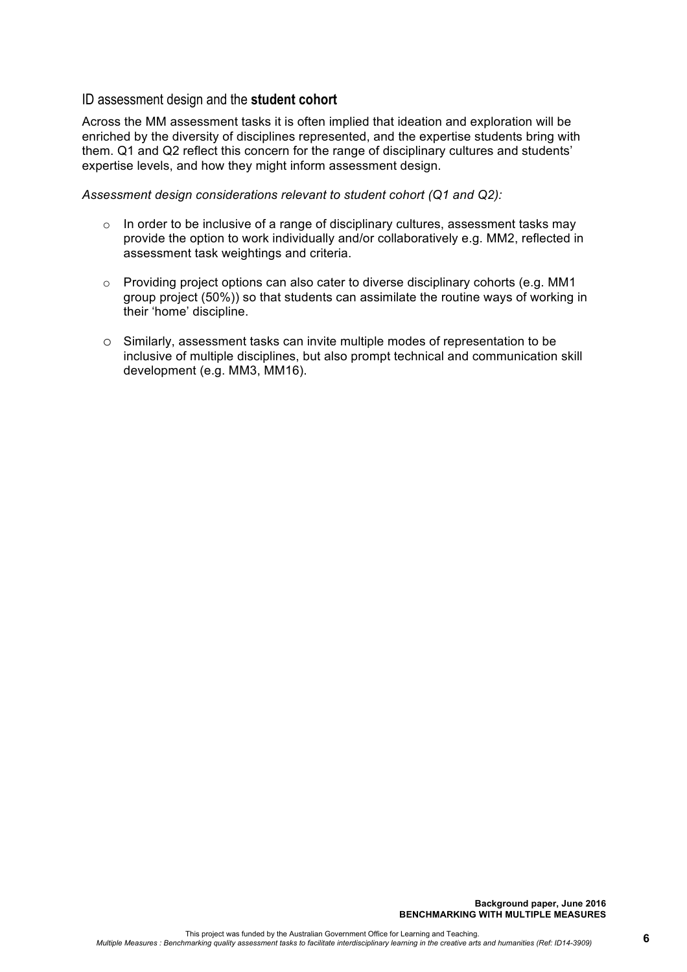# ID assessment design and the **student cohort**

Across the MM assessment tasks it is often implied that ideation and exploration will be enriched by the diversity of disciplines represented, and the expertise students bring with them. Q1 and Q2 reflect this concern for the range of disciplinary cultures and students' expertise levels, and how they might inform assessment design.

*Assessment design considerations relevant to student cohort (Q1 and Q2):*

- o In order to be inclusive of a range of disciplinary cultures, assessment tasks may provide the option to work individually and/or collaboratively e.g. MM2, reflected in assessment task weightings and criteria.
- $\circ$  Providing project options can also cater to diverse disciplinary cohorts (e.g. MM1) group project (50%)) so that students can assimilate the routine ways of working in their 'home' discipline.
- o Similarly, assessment tasks can invite multiple modes of representation to be inclusive of multiple disciplines, but also prompt technical and communication skill development (e.g. MM3, MM16).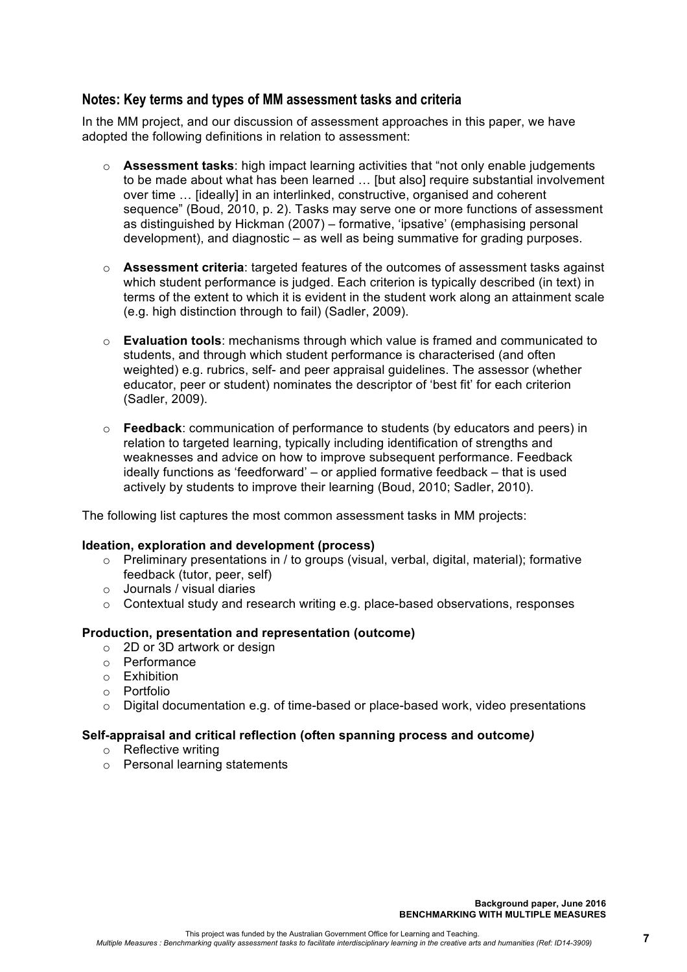# **Notes: Key terms and types of MM assessment tasks and criteria**

In the MM project, and our discussion of assessment approaches in this paper, we have adopted the following definitions in relation to assessment:

- o **Assessment tasks**: high impact learning activities that "not only enable judgements to be made about what has been learned … [but also] require substantial involvement over time … [ideally] in an interlinked, constructive, organised and coherent sequence" (Boud, 2010, p. 2). Tasks may serve one or more functions of assessment as distinguished by Hickman (2007) – formative, 'ipsative' (emphasising personal development), and diagnostic – as well as being summative for grading purposes.
- o **Assessment criteria**: targeted features of the outcomes of assessment tasks against which student performance is judged. Each criterion is typically described (in text) in terms of the extent to which it is evident in the student work along an attainment scale (e.g. high distinction through to fail) (Sadler, 2009).
- o **Evaluation tools**: mechanisms through which value is framed and communicated to students, and through which student performance is characterised (and often weighted) e.g. rubrics, self- and peer appraisal guidelines. The assessor (whether educator, peer or student) nominates the descriptor of 'best fit' for each criterion (Sadler, 2009).
- o **Feedback**: communication of performance to students (by educators and peers) in relation to targeted learning, typically including identification of strengths and weaknesses and advice on how to improve subsequent performance. Feedback ideally functions as 'feedforward' – or applied formative feedback – that is used actively by students to improve their learning (Boud, 2010; Sadler, 2010).

The following list captures the most common assessment tasks in MM projects:

### **Ideation, exploration and development (process)**

- $\circ$  Preliminary presentations in / to groups (visual, verbal, digital, material); formative feedback (tutor, peer, self)
- o Journals / visual diaries
- $\circ$  Contextual study and research writing e.g. place-based observations, responses

## **Production, presentation and representation (outcome)**

- o 2D or 3D artwork or design
- o Performance
- o Exhibition
- o Portfolio
- $\circ$  Digital documentation e.g. of time-based or place-based work, video presentations

## **Self-appraisal and critical reflection (often spanning process and outcome***)*

- o Reflective writing
- o Personal learning statements